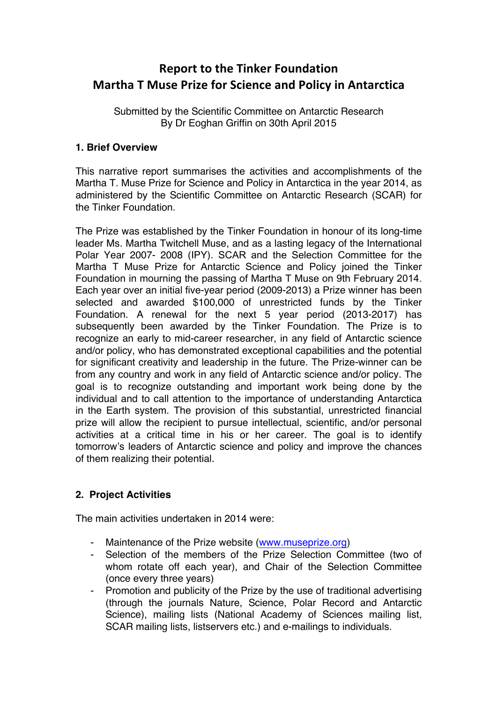# **Report to the Tinker Foundation Martha T Muse Prize for Science and Policy in Antarctica**

Submitted by the Scientific Committee on Antarctic Research By Dr Eoghan Griffin on 30th April 2015

### **1. Brief Overview**

This narrative report summarises the activities and accomplishments of the Martha T. Muse Prize for Science and Policy in Antarctica in the year 2014, as administered by the Scientific Committee on Antarctic Research (SCAR) for the Tinker Foundation.

The Prize was established by the Tinker Foundation in honour of its long-time leader Ms. Martha Twitchell Muse, and as a lasting legacy of the International Polar Year 2007- 2008 (IPY). SCAR and the Selection Committee for the Martha T Muse Prize for Antarctic Science and Policy joined the Tinker Foundation in mourning the passing of Martha T Muse on 9th February 2014. Each year over an initial five-year period (2009-2013) a Prize winner has been selected and awarded \$100,000 of unrestricted funds by the Tinker Foundation. A renewal for the next 5 year period (2013-2017) has subsequently been awarded by the Tinker Foundation. The Prize is to recognize an early to mid-career researcher, in any field of Antarctic science and/or policy, who has demonstrated exceptional capabilities and the potential for significant creativity and leadership in the future. The Prize-winner can be from any country and work in any field of Antarctic science and/or policy. The goal is to recognize outstanding and important work being done by the individual and to call attention to the importance of understanding Antarctica in the Earth system. The provision of this substantial, unrestricted financial prize will allow the recipient to pursue intellectual, scientific, and/or personal activities at a critical time in his or her career. The goal is to identify tomorrow's leaders of Antarctic science and policy and improve the chances of them realizing their potential.

# **2. Project Activities**

The main activities undertaken in 2014 were:

- Maintenance of the Prize website (www.museprize.org)
- Selection of the members of the Prize Selection Committee (two of whom rotate off each year), and Chair of the Selection Committee (once every three years)
- Promotion and publicity of the Prize by the use of traditional advertising (through the journals Nature, Science, Polar Record and Antarctic Science), mailing lists (National Academy of Sciences mailing list, SCAR mailing lists, listservers etc.) and e-mailings to individuals.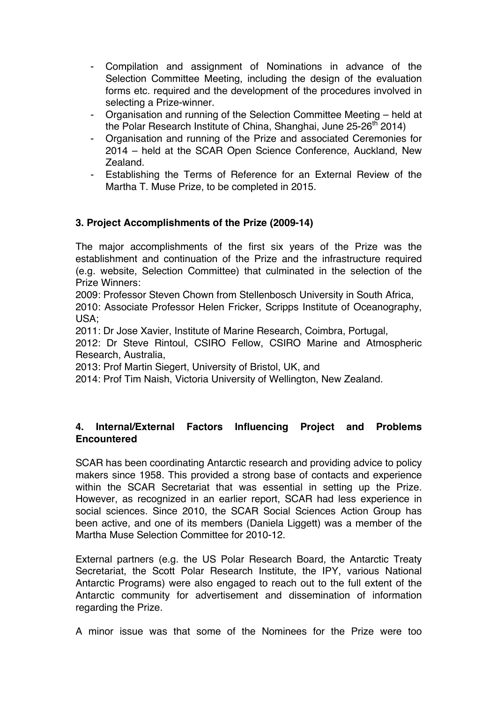- Compilation and assignment of Nominations in advance of the Selection Committee Meeting, including the design of the evaluation forms etc. required and the development of the procedures involved in selecting a Prize-winner.
- Organisation and running of the Selection Committee Meeting held at the Polar Research Institute of China, Shanghai, June  $25-26$ <sup>th</sup> 2014)
- Organisation and running of the Prize and associated Ceremonies for 2014 – held at the SCAR Open Science Conference, Auckland, New Zealand.
- Establishing the Terms of Reference for an External Review of the Martha T. Muse Prize, to be completed in 2015.

# **3. Project Accomplishments of the Prize (2009-14)**

The major accomplishments of the first six years of the Prize was the establishment and continuation of the Prize and the infrastructure required (e.g. website, Selection Committee) that culminated in the selection of the Prize Winners:

2009: Professor Steven Chown from Stellenbosch University in South Africa,

2010: Associate Professor Helen Fricker, Scripps Institute of Oceanography, USA;

2011: Dr Jose Xavier, Institute of Marine Research, Coimbra, Portugal,

2012: Dr Steve Rintoul, CSIRO Fellow, CSIRO Marine and Atmospheric Research, Australia,

2013: Prof Martin Siegert, University of Bristol, UK, and

2014: Prof Tim Naish, Victoria University of Wellington, New Zealand.

### **4. Internal/External Factors Influencing Project and Problems Encountered**

SCAR has been coordinating Antarctic research and providing advice to policy makers since 1958. This provided a strong base of contacts and experience within the SCAR Secretariat that was essential in setting up the Prize. However, as recognized in an earlier report, SCAR had less experience in social sciences. Since 2010, the SCAR Social Sciences Action Group has been active, and one of its members (Daniela Liggett) was a member of the Martha Muse Selection Committee for 2010-12.

External partners (e.g. the US Polar Research Board, the Antarctic Treaty Secretariat, the Scott Polar Research Institute, the IPY, various National Antarctic Programs) were also engaged to reach out to the full extent of the Antarctic community for advertisement and dissemination of information regarding the Prize.

A minor issue was that some of the Nominees for the Prize were too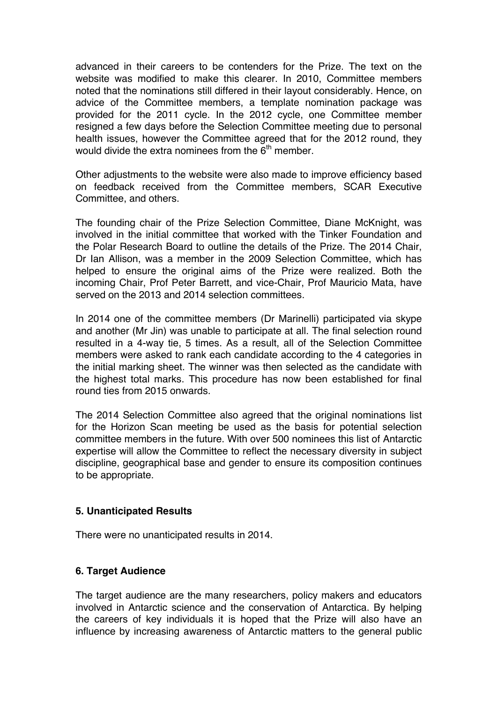advanced in their careers to be contenders for the Prize. The text on the website was modified to make this clearer. In 2010, Committee members noted that the nominations still differed in their layout considerably. Hence, on advice of the Committee members, a template nomination package was provided for the 2011 cycle. In the 2012 cycle, one Committee member resigned a few days before the Selection Committee meeting due to personal health issues, however the Committee agreed that for the 2012 round, they would divide the extra nominees from the  $6<sup>th</sup>$  member.

Other adjustments to the website were also made to improve efficiency based on feedback received from the Committee members, SCAR Executive Committee, and others.

The founding chair of the Prize Selection Committee, Diane McKnight, was involved in the initial committee that worked with the Tinker Foundation and the Polar Research Board to outline the details of the Prize. The 2014 Chair, Dr Ian Allison, was a member in the 2009 Selection Committee, which has helped to ensure the original aims of the Prize were realized. Both the incoming Chair, Prof Peter Barrett, and vice-Chair, Prof Mauricio Mata, have served on the 2013 and 2014 selection committees.

In 2014 one of the committee members (Dr Marinelli) participated via skype and another (Mr Jin) was unable to participate at all. The final selection round resulted in a 4-way tie, 5 times. As a result, all of the Selection Committee members were asked to rank each candidate according to the 4 categories in the initial marking sheet. The winner was then selected as the candidate with the highest total marks. This procedure has now been established for final round ties from 2015 onwards.

The 2014 Selection Committee also agreed that the original nominations list for the Horizon Scan meeting be used as the basis for potential selection committee members in the future. With over 500 nominees this list of Antarctic expertise will allow the Committee to reflect the necessary diversity in subject discipline, geographical base and gender to ensure its composition continues to be appropriate.

#### **5. Unanticipated Results**

There were no unanticipated results in 2014.

#### **6. Target Audience**

The target audience are the many researchers, policy makers and educators involved in Antarctic science and the conservation of Antarctica. By helping the careers of key individuals it is hoped that the Prize will also have an influence by increasing awareness of Antarctic matters to the general public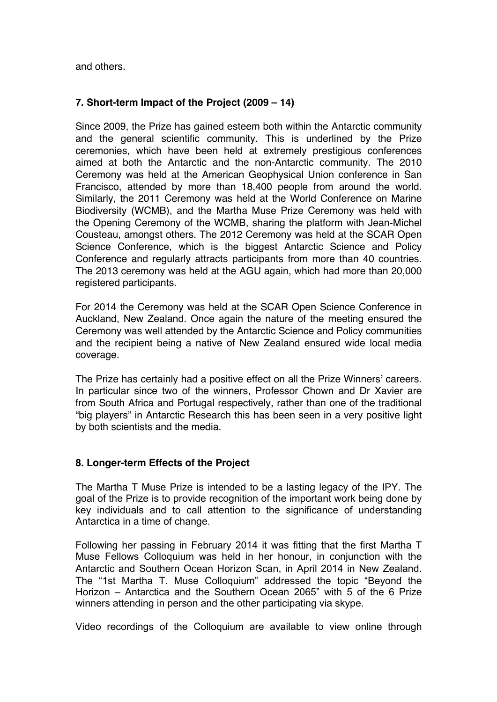and others.

### **7. Short-term Impact of the Project (2009 – 14)**

Since 2009, the Prize has gained esteem both within the Antarctic community and the general scientific community. This is underlined by the Prize ceremonies, which have been held at extremely prestigious conferences aimed at both the Antarctic and the non-Antarctic community. The 2010 Ceremony was held at the American Geophysical Union conference in San Francisco, attended by more than 18,400 people from around the world. Similarly, the 2011 Ceremony was held at the World Conference on Marine Biodiversity (WCMB), and the Martha Muse Prize Ceremony was held with the Opening Ceremony of the WCMB, sharing the platform with Jean-Michel Cousteau, amongst others. The 2012 Ceremony was held at the SCAR Open Science Conference, which is the biggest Antarctic Science and Policy Conference and regularly attracts participants from more than 40 countries. The 2013 ceremony was held at the AGU again, which had more than 20,000 registered participants.

For 2014 the Ceremony was held at the SCAR Open Science Conference in Auckland, New Zealand. Once again the nature of the meeting ensured the Ceremony was well attended by the Antarctic Science and Policy communities and the recipient being a native of New Zealand ensured wide local media coverage.

The Prize has certainly had a positive effect on all the Prize Winners' careers. In particular since two of the winners, Professor Chown and Dr Xavier are from South Africa and Portugal respectively, rather than one of the traditional "big players" in Antarctic Research this has been seen in a very positive light by both scientists and the media.

#### **8. Longer-term Effects of the Project**

The Martha T Muse Prize is intended to be a lasting legacy of the IPY. The goal of the Prize is to provide recognition of the important work being done by key individuals and to call attention to the significance of understanding Antarctica in a time of change.

Following her passing in February 2014 it was fitting that the first Martha T Muse Fellows Colloquium was held in her honour, in conjunction with the Antarctic and Southern Ocean Horizon Scan, in April 2014 in New Zealand. The "1st Martha T. Muse Colloquium" addressed the topic "Beyond the Horizon – Antarctica and the Southern Ocean 2065" with 5 of the 6 Prize winners attending in person and the other participating via skype.

Video recordings of the Colloquium are available to view online through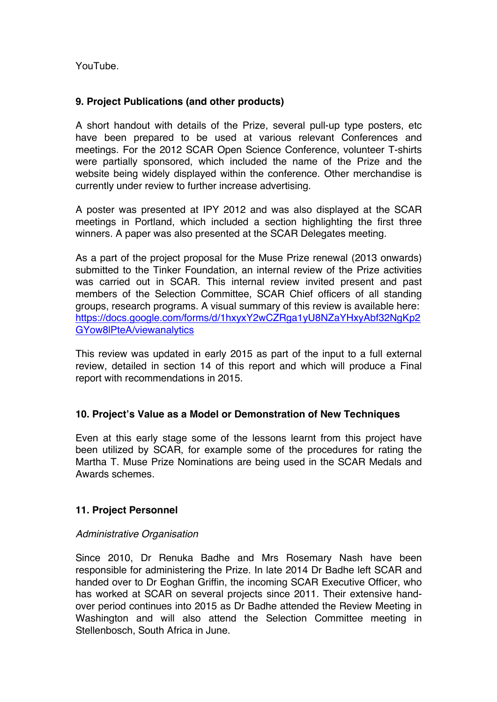YouTube.

### **9. Project Publications (and other products)**

A short handout with details of the Prize, several pull-up type posters, etc have been prepared to be used at various relevant Conferences and meetings. For the 2012 SCAR Open Science Conference, volunteer T-shirts were partially sponsored, which included the name of the Prize and the website being widely displayed within the conference. Other merchandise is currently under review to further increase advertising.

A poster was presented at IPY 2012 and was also displayed at the SCAR meetings in Portland, which included a section highlighting the first three winners. A paper was also presented at the SCAR Delegates meeting.

As a part of the project proposal for the Muse Prize renewal (2013 onwards) submitted to the Tinker Foundation, an internal review of the Prize activities was carried out in SCAR. This internal review invited present and past members of the Selection Committee, SCAR Chief officers of all standing groups, research programs. A visual summary of this review is available here: https://docs.google.com/forms/d/1hxyxY2wCZRga1yU8NZaYHxyAbf32NgKp2 GYow8lPteA/viewanalytics

This review was updated in early 2015 as part of the input to a full external review, detailed in section 14 of this report and which will produce a Final report with recommendations in 2015.

#### **10. Project's Value as a Model or Demonstration of New Techniques**

Even at this early stage some of the lessons learnt from this project have been utilized by SCAR, for example some of the procedures for rating the Martha T. Muse Prize Nominations are being used in the SCAR Medals and Awards schemes.

#### **11. Project Personnel**

#### *Administrative Organisation*

Since 2010, Dr Renuka Badhe and Mrs Rosemary Nash have been responsible for administering the Prize. In late 2014 Dr Badhe left SCAR and handed over to Dr Eoghan Griffin, the incoming SCAR Executive Officer, who has worked at SCAR on several projects since 2011. Their extensive handover period continues into 2015 as Dr Badhe attended the Review Meeting in Washington and will also attend the Selection Committee meeting in Stellenbosch, South Africa in June.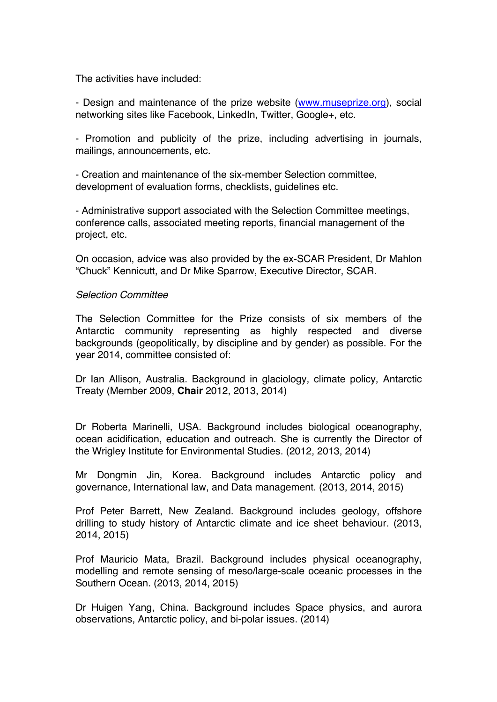The activities have included:

- Design and maintenance of the prize website (www.museprize.org), social networking sites like Facebook, LinkedIn, Twitter, Google+, etc.

- Promotion and publicity of the prize, including advertising in journals, mailings, announcements, etc.

- Creation and maintenance of the six-member Selection committee, development of evaluation forms, checklists, guidelines etc.

- Administrative support associated with the Selection Committee meetings, conference calls, associated meeting reports, financial management of the project, etc.

On occasion, advice was also provided by the ex-SCAR President, Dr Mahlon "Chuck" Kennicutt, and Dr Mike Sparrow, Executive Director, SCAR.

#### *Selection Committee*

The Selection Committee for the Prize consists of six members of the Antarctic community representing as highly respected and diverse backgrounds (geopolitically, by discipline and by gender) as possible. For the year 2014, committee consisted of:

Dr Ian Allison, Australia. Background in glaciology, climate policy, Antarctic Treaty (Member 2009, **Chair** 2012, 2013, 2014)

Dr Roberta Marinelli, USA. Background includes biological oceanography, ocean acidification, education and outreach. She is currently the Director of the Wrigley Institute for Environmental Studies. (2012, 2013, 2014)

Mr Dongmin Jin, Korea. Background includes Antarctic policy and governance, International law, and Data management. (2013, 2014, 2015)

Prof Peter Barrett, New Zealand. Background includes geology, offshore drilling to study history of Antarctic climate and ice sheet behaviour. (2013, 2014, 2015)

Prof Mauricio Mata, Brazil. Background includes physical oceanography, modelling and remote sensing of meso/large-scale oceanic processes in the Southern Ocean. (2013, 2014, 2015)

Dr Huigen Yang, China. Background includes Space physics, and aurora observations, Antarctic policy, and bi-polar issues. (2014)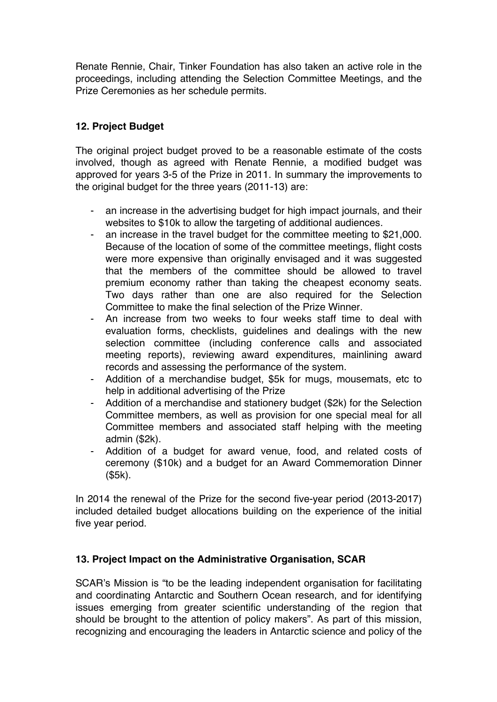Renate Rennie, Chair, Tinker Foundation has also taken an active role in the proceedings, including attending the Selection Committee Meetings, and the Prize Ceremonies as her schedule permits.

### **12. Project Budget**

The original project budget proved to be a reasonable estimate of the costs involved, though as agreed with Renate Rennie, a modified budget was approved for years 3-5 of the Prize in 2011. In summary the improvements to the original budget for the three years (2011-13) are:

- an increase in the advertising budget for high impact journals, and their websites to \$10k to allow the targeting of additional audiences.
- an increase in the travel budget for the committee meeting to \$21,000. Because of the location of some of the committee meetings, flight costs were more expensive than originally envisaged and it was suggested that the members of the committee should be allowed to travel premium economy rather than taking the cheapest economy seats. Two days rather than one are also required for the Selection Committee to make the final selection of the Prize Winner.
- An increase from two weeks to four weeks staff time to deal with evaluation forms, checklists, guidelines and dealings with the new selection committee (including conference calls and associated meeting reports), reviewing award expenditures, mainlining award records and assessing the performance of the system.
- Addition of a merchandise budget, \$5k for mugs, mousemats, etc to help in additional advertising of the Prize
- Addition of a merchandise and stationery budget (\$2k) for the Selection Committee members, as well as provision for one special meal for all Committee members and associated staff helping with the meeting admin (\$2k).
- Addition of a budget for award venue, food, and related costs of ceremony (\$10k) and a budget for an Award Commemoration Dinner (\$5k).

In 2014 the renewal of the Prize for the second five-year period (2013-2017) included detailed budget allocations building on the experience of the initial five year period.

### **13. Project Impact on the Administrative Organisation, SCAR**

SCAR's Mission is "to be the leading independent organisation for facilitating and coordinating Antarctic and Southern Ocean research, and for identifying issues emerging from greater scientific understanding of the region that should be brought to the attention of policy makers". As part of this mission, recognizing and encouraging the leaders in Antarctic science and policy of the